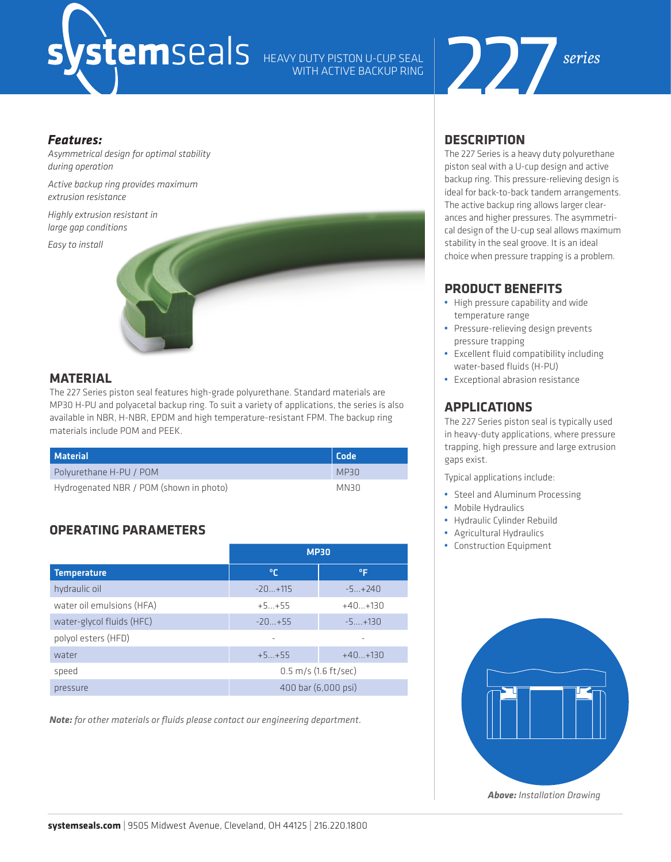# WITH ACTIVE BACKUP RING



#### *Features:*

*Asymmetrical design for optimal stability during operation* 

*Active backup ring provides maximum extrusion resistance*

*Highly extrusion resistant in large gap conditions* 

*Easy to install* 



# **MATERIAL**

The 227 Series piston seal features high-grade polyurethane. Standard materials are MP30 H-PU and polyacetal backup ring. To suit a variety of applications, the series is also available in NBR, H-NBR, EPDM and high temperature-resistant FPM. The backup ring materials include POM and PEEK.

| <b>Material</b>                         | Code |
|-----------------------------------------|------|
| Polyurethane H-PU / POM                 | MP30 |
| Hydrogenated NBR / POM (shown in photo) | MN30 |

# **OPERATING PARAMETERS**

|                           | <b>MP30</b>                      |           |  |
|---------------------------|----------------------------------|-----------|--|
| <b>Temperature</b>        | °€                               | °F        |  |
| hydraulic oil             | $-20+115$                        | $-5+240$  |  |
| water oil emulsions (HFA) | $+5+55$                          | $+40+130$ |  |
| water-glycol fluids (HFC) | $-20+55$                         | $-5+130$  |  |
| polyol esters (HFD)       | $\overline{\phantom{a}}$         | -         |  |
| water                     | $+5+55$                          | $+40+130$ |  |
| speed                     | $0.5 \, \text{m/s}$ (1.6 ft/sec) |           |  |
| pressure                  | 400 bar (6,000 psi)              |           |  |

*Note: for other materials or fluids please contact our engineering department.*

# **DESCRIPTION**

The 227 Series is a heavy duty polyurethane piston seal with a U-cup design and active backup ring. This pressure-relieving design is ideal for back-to-back tandem arrangements. The active backup ring allows larger clearances and higher pressures. The asymmetrical design of the U-cup seal allows maximum stability in the seal groove. It is an ideal choice when pressure trapping is a problem.

# **PRODUCT BENEFITS**

- **•** High pressure capability and wide temperature range
- **•** Pressure-relieving design prevents pressure trapping
- **•** Excellent fluid compatibility including water-based fluids (H-PU)
- **•** Exceptional abrasion resistance

# **APPLICATIONS**

The 227 Series piston seal is typically used in heavy-duty applications, where pressure trapping, high pressure and large extrusion gaps exist.

Typical applications include:

- **•** Steel and Aluminum Processing
- **•** Mobile Hydraulics
- **•** Hydraulic Cylinder Rebuild
- **•** Agricultural Hydraulics
- **•** Construction Equipment